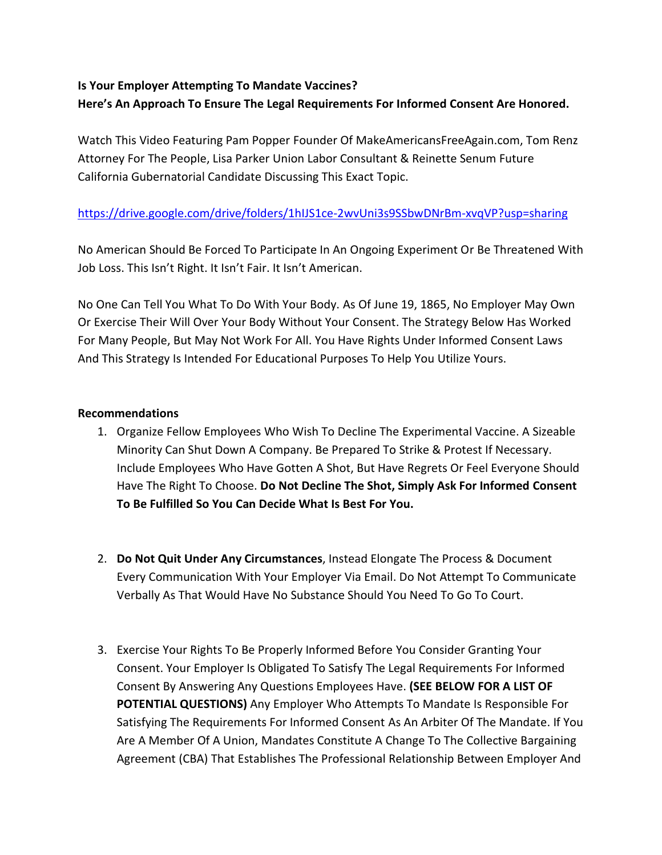# **Is Your Employer Attempting To Mandate Vaccines? Here's An Approach To Ensure The Legal Requirements For Informed Consent Are Honored.**

Watch This Video Featuring Pam Popper Founder Of MakeAmericansFreeAgain.com, Tom Renz Attorney For The People, Lisa Parker Union Labor Consultant & Reinette Senum Future California Gubernatorial Candidate Discussing This Exact Topic.

# <https://drive.google.com/drive/folders/1hIJS1ce-2wvUni3s9SSbwDNrBm-xvqVP?usp=sharing>

No American Should Be Forced To Participate In An Ongoing Experiment Or Be Threatened With Job Loss. This Isn't Right. It Isn't Fair. It Isn't American.

No One Can Tell You What To Do With Your Body. As Of June 19, 1865, No Employer May Own Or Exercise Their Will Over Your Body Without Your Consent. The Strategy Below Has Worked For Many People, But May Not Work For All. You Have Rights Under Informed Consent Laws And This Strategy Is Intended For Educational Purposes To Help You Utilize Yours.

## **Recommendations**

- 1. Organize Fellow Employees Who Wish To Decline The Experimental Vaccine. A Sizeable Minority Can Shut Down A Company. Be Prepared To Strike & Protest If Necessary. Include Employees Who Have Gotten A Shot, But Have Regrets Or Feel Everyone Should Have The Right To Choose. **Do Not Decline The Shot, Simply Ask For Informed Consent To Be Fulfilled So You Can Decide What Is Best For You.**
- 2. **Do Not Quit Under Any Circumstances**, Instead Elongate The Process & Document Every Communication With Your Employer Via Email. Do Not Attempt To Communicate Verbally As That Would Have No Substance Should You Need To Go To Court.
- 3. Exercise Your Rights To Be Properly Informed Before You Consider Granting Your Consent. Your Employer Is Obligated To Satisfy The Legal Requirements For Informed Consent By Answering Any Questions Employees Have. **(SEE BELOW FOR A LIST OF POTENTIAL QUESTIONS)** Any Employer Who Attempts To Mandate Is Responsible For Satisfying The Requirements For Informed Consent As An Arbiter Of The Mandate. If You Are A Member Of A Union, Mandates Constitute A Change To The Collective Bargaining Agreement (CBA) That Establishes The Professional Relationship Between Employer And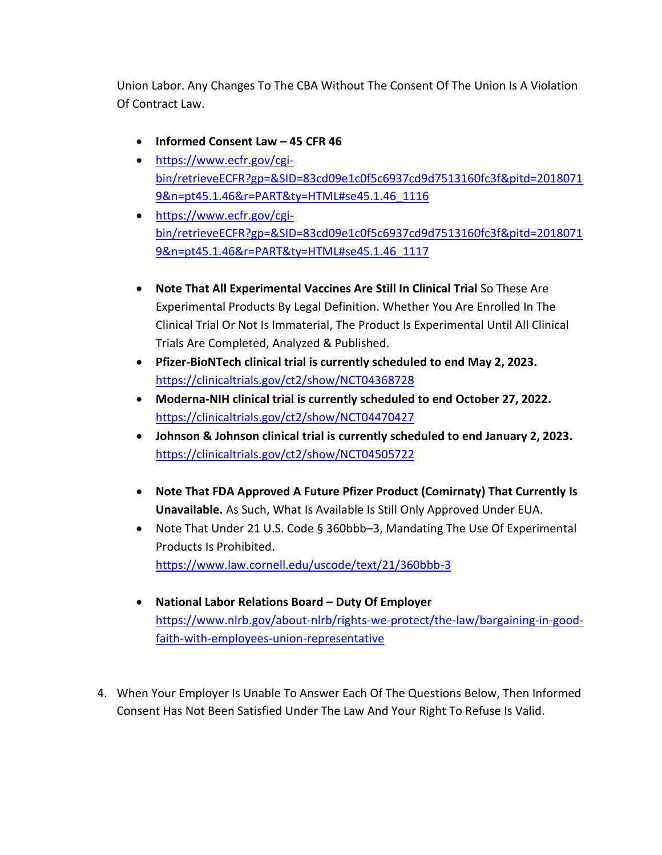Union Labor. Any Changes To The CBA Without The Consent Of The Union Is A Violation Of Contract Law.

- **Informed Consent Law – 45 CFR 46**
- [https://www.ecfr.gov/cgi](https://www.ecfr.gov/cgi-bin/retrieveECFR?gp=&SID=83cd09e1c0f5c6937cd9d7513160fc3f&pitd=20180719&n=pt45.1.46&r=PART&ty=HTML#se45.1.46_1116)[bin/retrieveECFR?gp=&SID=83cd09e1c0f5c6937cd9d7513160fc3f&pitd=2018071](https://www.ecfr.gov/cgi-bin/retrieveECFR?gp=&SID=83cd09e1c0f5c6937cd9d7513160fc3f&pitd=20180719&n=pt45.1.46&r=PART&ty=HTML#se45.1.46_1116) [9&n=pt45.1.46&r=PART&ty=HTML#se45.1.46\\_1116](https://www.ecfr.gov/cgi-bin/retrieveECFR?gp=&SID=83cd09e1c0f5c6937cd9d7513160fc3f&pitd=20180719&n=pt45.1.46&r=PART&ty=HTML#se45.1.46_1116)
- [https://www.ecfr.gov/cgi](https://www.ecfr.gov/cgi-bin/retrieveECFR?gp=&SID=83cd09e1c0f5c6937cd9d7513160fc3f&pitd=20180719&n=pt45.1.46&r=PART&ty=HTML#se45.1.46_1117)[bin/retrieveECFR?gp=&SID=83cd09e1c0f5c6937cd9d7513160fc3f&pitd=2018071](https://www.ecfr.gov/cgi-bin/retrieveECFR?gp=&SID=83cd09e1c0f5c6937cd9d7513160fc3f&pitd=20180719&n=pt45.1.46&r=PART&ty=HTML#se45.1.46_1117) [9&n=pt45.1.46&r=PART&ty=HTML#se45.1.46\\_1117](https://www.ecfr.gov/cgi-bin/retrieveECFR?gp=&SID=83cd09e1c0f5c6937cd9d7513160fc3f&pitd=20180719&n=pt45.1.46&r=PART&ty=HTML#se45.1.46_1117)
- **Note That All Experimental Vaccines Are Still In Clinical Trial** So These Are Experimental Products By Legal Definition. Whether You Are Enrolled In The Clinical Trial Or Not Is Immaterial, The Product Is Experimental Until All Clinical Trials Are Completed, Analyzed & Published.
- **Pfizer-BioNTech clinical trial is currently scheduled to end May 2, 2023.** <https://clinicaltrials.gov/ct2/show/NCT04368728>
- **Moderna-NIH clinical trial is currently scheduled to end October 27, 2022.** <https://clinicaltrials.gov/ct2/show/NCT04470427>
- **Johnson & Johnson clinical trial is currently scheduled to end January 2, 2023.** <https://clinicaltrials.gov/ct2/show/NCT04505722>
- **Note That FDA Approved A Future Pfizer Product (Comirnaty) That Currently Is Unavailable.** As Such, What Is Available Is Still Only Approved Under EUA.
- Note That Under 21 U.S. Code § 360bbb–3, Mandating The Use Of Experimental Products Is Prohibited. <https://www.law.cornell.edu/uscode/text/21/360bbb-3>
- **National Labor Relations Board – Duty Of Employer** [https://www.nlrb.gov/about-nlrb/rights-we-protect/the-law/bargaining-in-good](https://www.nlrb.gov/about-nlrb/rights-we-protect/the-law/bargaining-in-good-faith-with-employees-union-representative)[faith-with-employees-union-representative](https://www.nlrb.gov/about-nlrb/rights-we-protect/the-law/bargaining-in-good-faith-with-employees-union-representative)
- 4. When Your Employer Is Unable To Answer Each Of The Questions Below, Then Informed Consent Has Not Been Satisfied Under The Law And Your Right To Refuse Is Valid.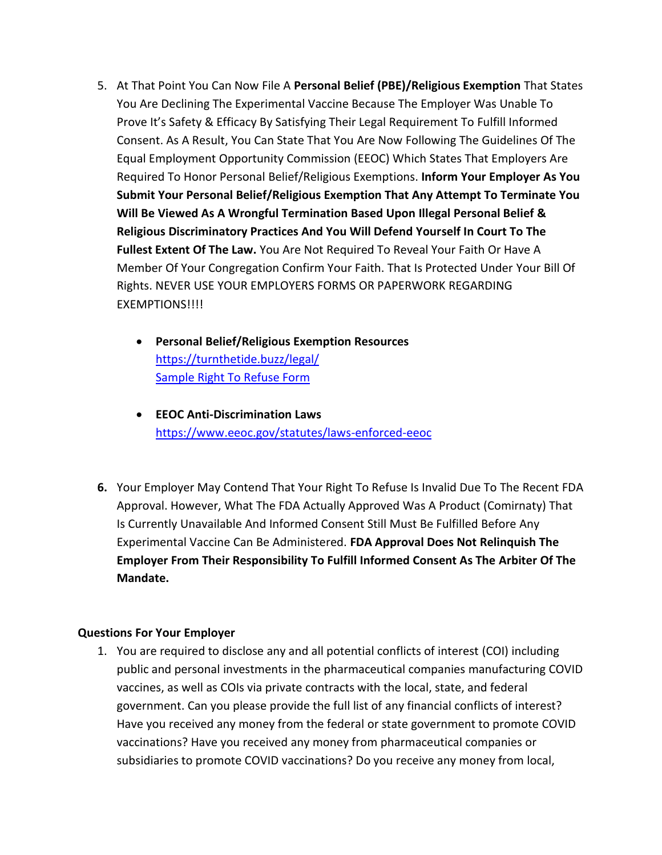- 5. At That Point You Can Now File A **Personal Belief (PBE)/Religious Exemption** That States You Are Declining The Experimental Vaccine Because The Employer Was Unable To Prove It's Safety & Efficacy By Satisfying Their Legal Requirement To Fulfill Informed Consent. As A Result, You Can State That You Are Now Following The Guidelines Of The Equal Employment Opportunity Commission (EEOC) Which States That Employers Are Required To Honor Personal Belief/Religious Exemptions. **Inform Your Employer As You Submit Your Personal Belief/Religious Exemption That Any Attempt To Terminate You Will Be Viewed As A Wrongful Termination Based Upon Illegal Personal Belief & Religious Discriminatory Practices And You Will Defend Yourself In Court To The Fullest Extent Of The Law.** You Are Not Required To Reveal Your Faith Or Have A Member Of Your Congregation Confirm Your Faith. That Is Protected Under Your Bill Of Rights. NEVER USE YOUR EMPLOYERS FORMS OR PAPERWORK REGARDING EXEMPTIONS!!!!
	- **Personal Belief/Religious Exemption Resources** <https://turnthetide.buzz/legal/> [Sample Right To Refuse Form](https://static1.squarespace.com/static/5d49e2b300d396000117f616/t/6066ada4d14ac278e9870196/1617341860114/Right+to+Refuse-OptOut-Religious-Disability-Medical-Notice+to+Employer-PDF-2.pdf)
	- **EEOC Anti-Discrimination Laws** <https://www.eeoc.gov/statutes/laws-enforced-eeoc>
- **6.** Your Employer May Contend That Your Right To Refuse Is Invalid Due To The Recent FDA Approval. However, What The FDA Actually Approved Was A Product (Comirnaty) That Is Currently Unavailable And Informed Consent Still Must Be Fulfilled Before Any Experimental Vaccine Can Be Administered. **FDA Approval Does Not Relinquish The Employer From Their Responsibility To Fulfill Informed Consent As The Arbiter Of The Mandate.**

### **Questions For Your Employer**

1. You are required to disclose any and all potential conflicts of interest (COI) including public and personal investments in the pharmaceutical companies manufacturing COVID vaccines, as well as COIs via private contracts with the local, state, and federal government. Can you please provide the full list of any financial conflicts of interest? Have you received any money from the federal or state government to promote COVID vaccinations? Have you received any money from pharmaceutical companies or subsidiaries to promote COVID vaccinations? Do you receive any money from local,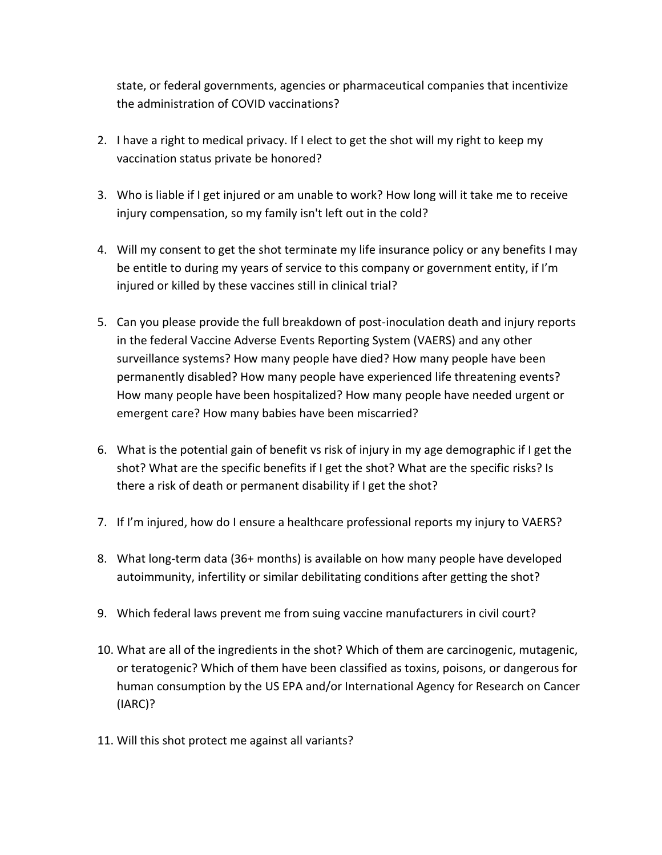state, or federal governments, agencies or pharmaceutical companies that incentivize the administration of COVID vaccinations?

- 2. I have a right to medical privacy. If I elect to get the shot will my right to keep my vaccination status private be honored?
- 3. Who is liable if I get injured or am unable to work? How long will it take me to receive injury compensation, so my family isn't left out in the cold?
- 4. Will my consent to get the shot terminate my life insurance policy or any benefits I may be entitle to during my years of service to this company or government entity, if I'm injured or killed by these vaccines still in clinical trial?
- 5. Can you please provide the full breakdown of post-inoculation death and injury reports in the federal Vaccine Adverse Events Reporting System (VAERS) and any other surveillance systems? How many people have died? How many people have been permanently disabled? How many people have experienced life threatening events? How many people have been hospitalized? How many people have needed urgent or emergent care? How many babies have been miscarried?
- 6. What is the potential gain of benefit vs risk of injury in my age demographic if I get the shot? What are the specific benefits if I get the shot? What are the specific risks? Is there a risk of death or permanent disability if I get the shot?
- 7. If I'm injured, how do I ensure a healthcare professional reports my injury to VAERS?
- 8. What long-term data (36+ months) is available on how many people have developed autoimmunity, infertility or similar debilitating conditions after getting the shot?
- 9. Which federal laws prevent me from suing vaccine manufacturers in civil court?
- 10. What are all of the ingredients in the shot? Which of them are carcinogenic, mutagenic, or teratogenic? Which of them have been classified as toxins, poisons, or dangerous for human consumption by the US EPA and/or International Agency for Research on Cancer (IARC)?
- 11. Will this shot protect me against all variants?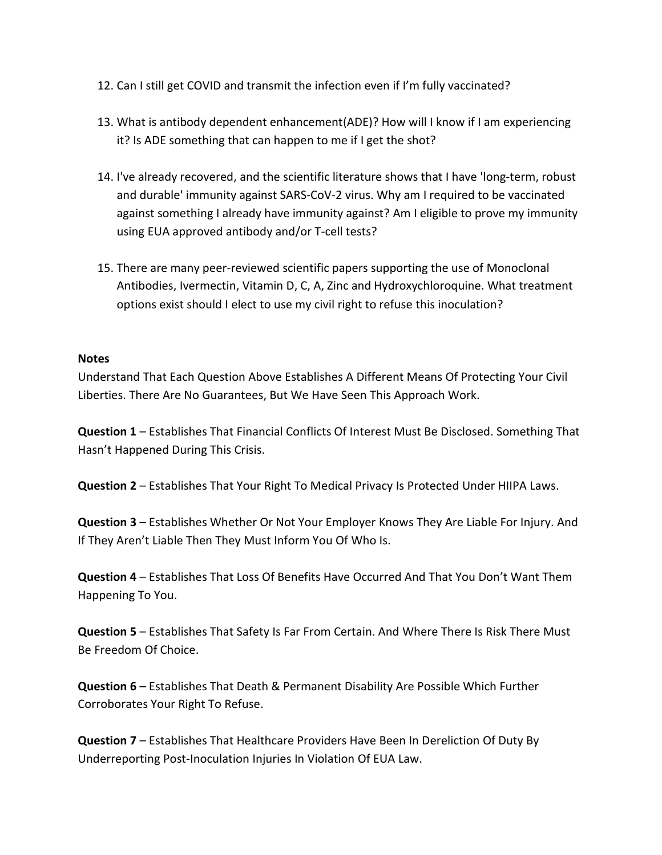- 12. Can I still get COVID and transmit the infection even if I'm fully vaccinated?
- 13. What is antibody dependent enhancement(ADE)? How will I know if I am experiencing it? Is ADE something that can happen to me if I get the shot?
- 14. I've already recovered, and the scientific literature shows that I have 'long-term, robust and durable' immunity against SARS-CoV-2 virus. Why am I required to be vaccinated against something I already have immunity against? Am I eligible to prove my immunity using EUA approved antibody and/or T-cell tests?
- 15. There are many peer-reviewed scientific papers supporting the use of Monoclonal Antibodies, Ivermectin, Vitamin D, C, A, Zinc and Hydroxychloroquine. What treatment options exist should I elect to use my civil right to refuse this inoculation?

#### **Notes**

Understand That Each Question Above Establishes A Different Means Of Protecting Your Civil Liberties. There Are No Guarantees, But We Have Seen This Approach Work.

**Question 1** – Establishes That Financial Conflicts Of Interest Must Be Disclosed. Something That Hasn't Happened During This Crisis.

**Question 2** – Establishes That Your Right To Medical Privacy Is Protected Under HIIPA Laws.

**Question 3** – Establishes Whether Or Not Your Employer Knows They Are Liable For Injury. And If They Aren't Liable Then They Must Inform You Of Who Is.

**Question 4** – Establishes That Loss Of Benefits Have Occurred And That You Don't Want Them Happening To You.

**Question 5** – Establishes That Safety Is Far From Certain. And Where There Is Risk There Must Be Freedom Of Choice.

**Question 6** – Establishes That Death & Permanent Disability Are Possible Which Further Corroborates Your Right To Refuse.

**Question 7** – Establishes That Healthcare Providers Have Been In Dereliction Of Duty By Underreporting Post-Inoculation Injuries In Violation Of EUA Law.